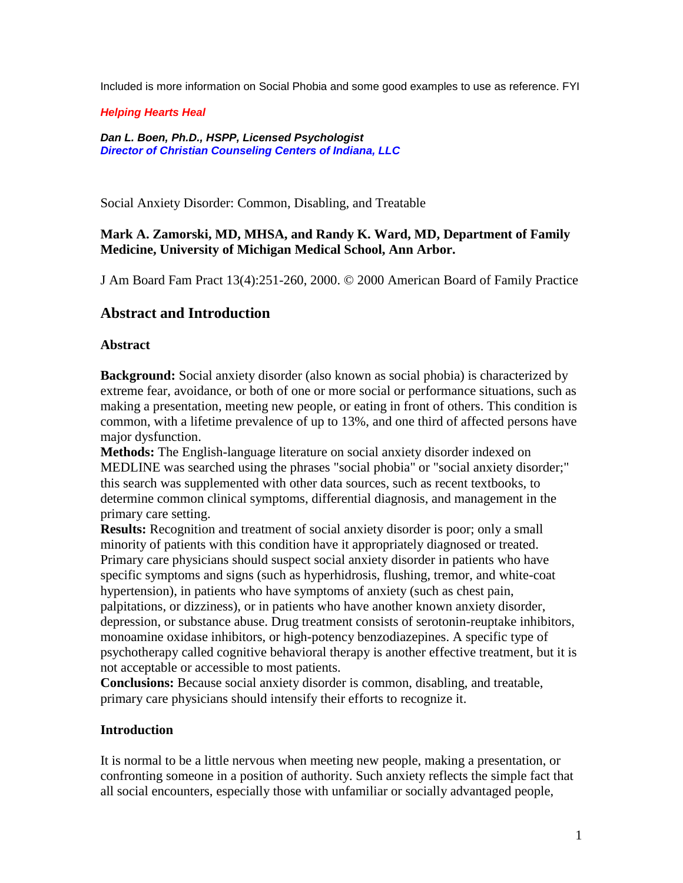Included is more information on Social Phobia and some good examples to use as reference. FYI

*Helping Hearts Heal*

*Dan L. Boen, Ph.D., HSPP, Licensed Psychologist Director of Christian Counseling Centers of Indiana, LLC*

Social Anxiety Disorder: Common, Disabling, and Treatable

### **Mark A. Zamorski, MD, MHSA, and Randy K. Ward, MD, Department of Family Medicine, University of Michigan Medical School, Ann Arbor.**

J Am Board Fam Pract 13(4):251-260, 2000. © 2000 American Board of Family Practice

## **Abstract and Introduction**

### **Abstract**

**Background:** Social anxiety disorder (also known as social phobia) is characterized by extreme fear, avoidance, or both of one or more social or performance situations, such as making a presentation, meeting new people, or eating in front of others. This condition is common, with a lifetime prevalence of up to 13%, and one third of affected persons have major dysfunction.

**Methods:** The English-language literature on social anxiety disorder indexed on MEDLINE was searched using the phrases "social phobia" or "social anxiety disorder;" this search was supplemented with other data sources, such as recent textbooks, to determine common clinical symptoms, differential diagnosis, and management in the primary care setting.

**Results:** Recognition and treatment of social anxiety disorder is poor; only a small minority of patients with this condition have it appropriately diagnosed or treated. Primary care physicians should suspect social anxiety disorder in patients who have specific symptoms and signs (such as hyperhidrosis, flushing, tremor, and white-coat hypertension), in patients who have symptoms of anxiety (such as chest pain, palpitations, or dizziness), or in patients who have another known anxiety disorder, depression, or substance abuse. Drug treatment consists of serotonin-reuptake inhibitors, monoamine oxidase inhibitors, or high-potency benzodiazepines. A specific type of psychotherapy called cognitive behavioral therapy is another effective treatment, but it is not acceptable or accessible to most patients.

**Conclusions:** Because social anxiety disorder is common, disabling, and treatable, primary care physicians should intensify their efforts to recognize it.

### **Introduction**

It is normal to be a little nervous when meeting new people, making a presentation, or confronting someone in a position of authority. Such anxiety reflects the simple fact that all social encounters, especially those with unfamiliar or socially advantaged people,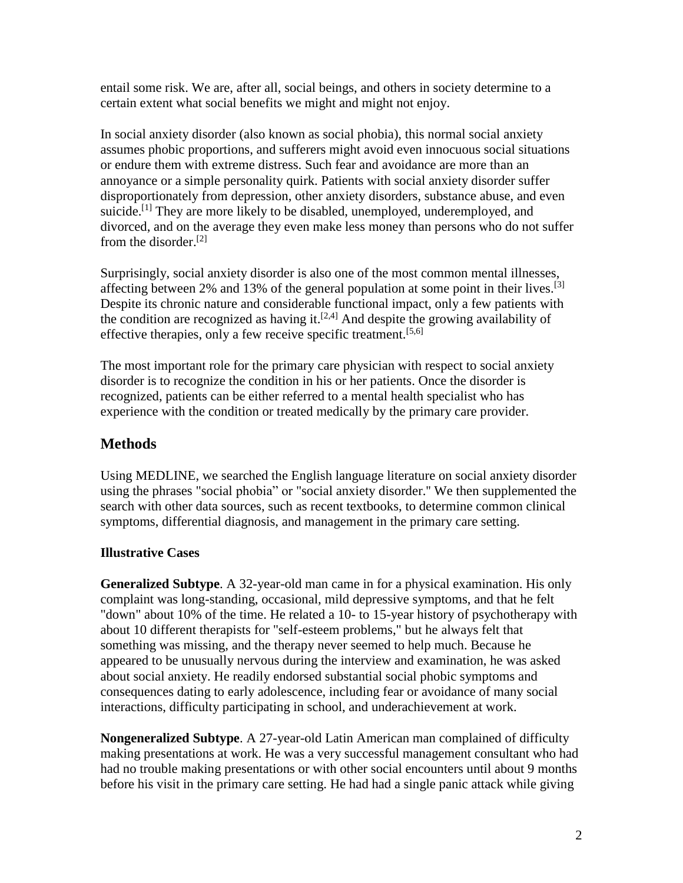entail some risk. We are, after all, social beings, and others in society determine to a certain extent what social benefits we might and might not enjoy.

In social anxiety disorder (also known as social phobia), this normal social anxiety assumes phobic proportions, and sufferers might avoid even innocuous social situations or endure them with extreme distress. Such fear and avoidance are more than an annoyance or a simple personality quirk. Patients with social anxiety disorder suffer disproportionately from depression, other anxiety disorders, substance abuse, and even suicide.<sup>[1]</sup> They are more likely to be disabled, unemployed, underemployed, and divorced, and on the average they even make less money than persons who do not suffer from the disorder.[2]

Surprisingly, social anxiety disorder is also one of the most common mental illnesses, affecting between 2% and 13% of the general population at some point in their lives.<sup>[3]</sup> Despite its chronic nature and considerable functional impact, only a few patients with the condition are recognized as having it.<sup>[2,4]</sup> And despite the growing availability of effective therapies, only a few receive specific treatment.<sup>[5,6]</sup>

The most important role for the primary care physician with respect to social anxiety disorder is to recognize the condition in his or her patients. Once the disorder is recognized, patients can be either referred to a mental health specialist who has experience with the condition or treated medically by the primary care provider.

# **Methods**

Using MEDLINE, we searched the English language literature on social anxiety disorder using the phrases "social phobia" or "social anxiety disorder.'' We then supplemented the search with other data sources, such as recent textbooks, to determine common clinical symptoms, differential diagnosis, and management in the primary care setting.

## **Illustrative Cases**

**Generalized Subtype**. A 32-year-old man came in for a physical examination. His only complaint was long-standing, occasional, mild depressive symptoms, and that he felt "down" about 10% of the time. He related a 10- to 15-year history of psychotherapy with about 10 different therapists for "self-esteem problems," but he always felt that something was missing, and the therapy never seemed to help much. Because he appeared to be unusually nervous during the interview and examination, he was asked about social anxiety. He readily endorsed substantial social phobic symptoms and consequences dating to early adolescence, including fear or avoidance of many social interactions, difficulty participating in school, and underachievement at work.

**Nongeneralized Subtype**. A 27-year-old Latin American man complained of difficulty making presentations at work. He was a very successful management consultant who had had no trouble making presentations or with other social encounters until about 9 months before his visit in the primary care setting. He had had a single panic attack while giving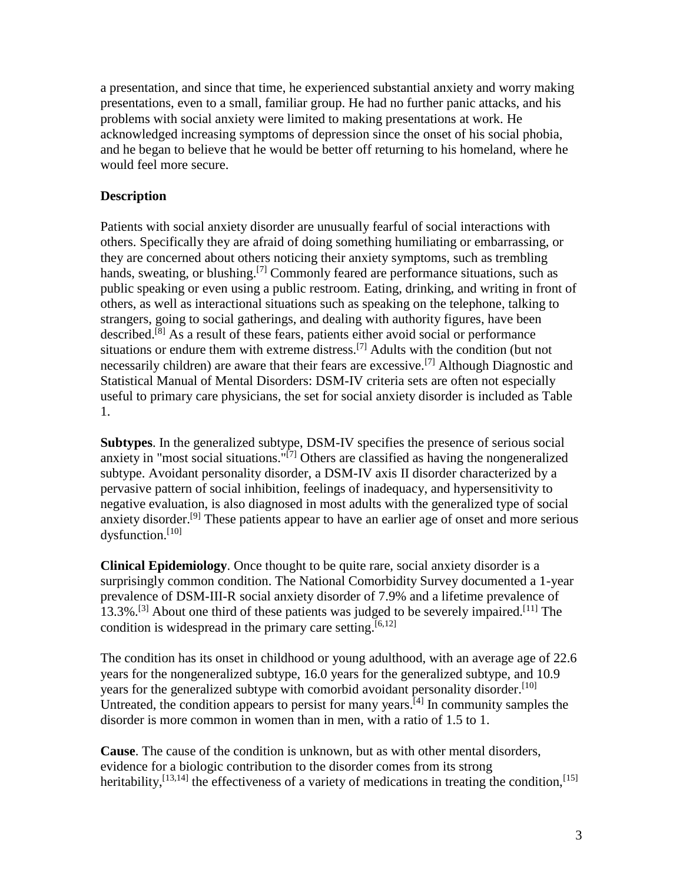a presentation, and since that time, he experienced substantial anxiety and worry making presentations, even to a small, familiar group. He had no further panic attacks, and his problems with social anxiety were limited to making presentations at work. He acknowledged increasing symptoms of depression since the onset of his social phobia, and he began to believe that he would be better off returning to his homeland, where he would feel more secure.

### **Description**

Patients with social anxiety disorder are unusually fearful of social interactions with others. Specifically they are afraid of doing something humiliating or embarrassing, or they are concerned about others noticing their anxiety symptoms, such as trembling hands, sweating, or blushing.<sup>[7]</sup> Commonly feared are performance situations, such as public speaking or even using a public restroom. Eating, drinking, and writing in front of others, as well as interactional situations such as speaking on the telephone, talking to strangers, going to social gatherings, and dealing with authority figures, have been described.[8] As a result of these fears, patients either avoid social or performance situations or endure them with extreme distress.<sup>[7]</sup> Adults with the condition (but not necessarily children) are aware that their fears are excessive.<sup>[7]</sup> Although Diagnostic and Statistical Manual of Mental Disorders: DSM-IV criteria sets are often not especially useful to primary care physicians, the set for social anxiety disorder is included as Table 1.

**Subtypes**. In the generalized subtype, DSM-IV specifies the presence of serious social anxiety in "most social situations."[7] Others are classified as having the nongeneralized subtype. Avoidant personality disorder, a DSM-IV axis II disorder characterized by a pervasive pattern of social inhibition, feelings of inadequacy, and hypersensitivity to negative evaluation, is also diagnosed in most adults with the generalized type of social anxiety disorder.<sup>[9]</sup> These patients appear to have an earlier age of onset and more serious dysfunction.[10]

**Clinical Epidemiology**. Once thought to be quite rare, social anxiety disorder is a surprisingly common condition. The National Comorbidity Survey documented a 1-year prevalence of DSM-III-R social anxiety disorder of 7.9% and a lifetime prevalence of 13.3%.<sup>[3]</sup> About one third of these patients was judged to be severely impaired.<sup>[11]</sup> The condition is widespread in the primary care setting.<sup>[6,12]</sup>

The condition has its onset in childhood or young adulthood, with an average age of 22.6 years for the nongeneralized subtype, 16.0 years for the generalized subtype, and 10.9 years for the generalized subtype with comorbid avoidant personality disorder.<sup>[10]</sup> Untreated, the condition appears to persist for many years.<sup>[4]</sup> In community samples the disorder is more common in women than in men, with a ratio of 1.5 to 1.

**Cause**. The cause of the condition is unknown, but as with other mental disorders, evidence for a biologic contribution to the disorder comes from its strong heritability,  $^{[13,14]}$  the effectiveness of a variety of medications in treating the condition,  $^{[15]}$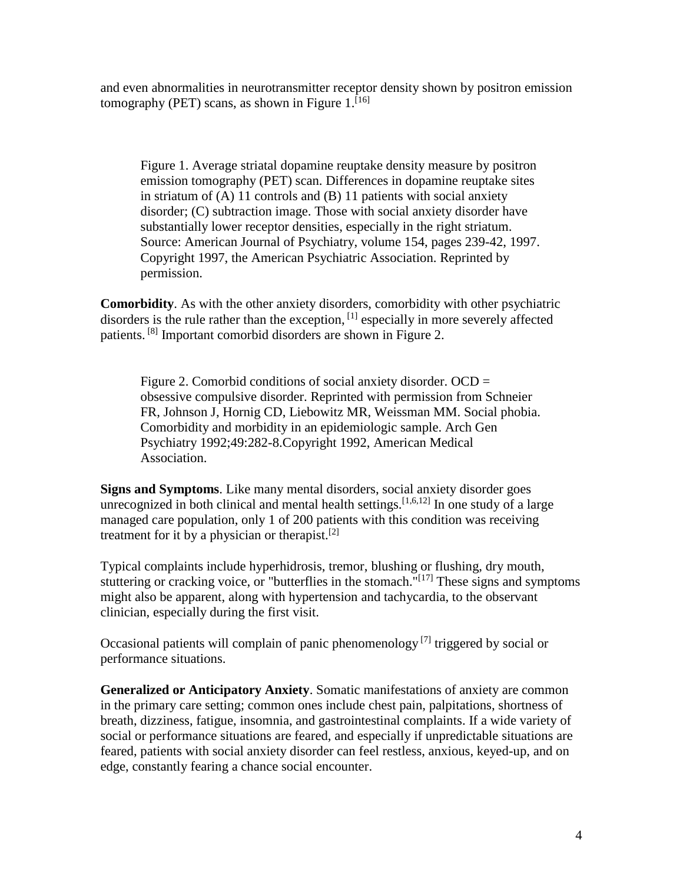and even abnormalities in neurotransmitter receptor density shown by positron emission tomography (PET) scans, as shown in Figure  $1.^{[16]}$ 

Figure 1. Average striatal dopamine reuptake density measure by positron emission tomography (PET) scan. Differences in dopamine reuptake sites in striatum of (A) 11 controls and (B) 11 patients with social anxiety disorder; (C) subtraction image. Those with social anxiety disorder have substantially lower receptor densities, especially in the right striatum. Source: American Journal of Psychiatry, volume 154, pages 239-42, 1997. Copyright 1997, the American Psychiatric Association. Reprinted by permission.

**Comorbidity**. As with the other anxiety disorders, comorbidity with other psychiatric disorders is the rule rather than the exception, <sup>[1]</sup> especially in more severely affected patients.<sup>[8]</sup> Important comorbid disorders are shown in Figure 2.

Figure 2. Comorbid conditions of social anxiety disorder. OCD = obsessive compulsive disorder. Reprinted with permission from Schneier FR, Johnson J, Hornig CD, Liebowitz MR, Weissman MM. Social phobia. Comorbidity and morbidity in an epidemiologic sample. Arch Gen Psychiatry 1992;49:282-8.Copyright 1992, American Medical Association.

**Signs and Symptoms**. Like many mental disorders, social anxiety disorder goes unrecognized in both clinical and mental health settings.  $[1,6,12]$  In one study of a large managed care population, only 1 of 200 patients with this condition was receiving treatment for it by a physician or therapist.<sup>[2]</sup>

Typical complaints include hyperhidrosis, tremor, blushing or flushing, dry mouth, stuttering or cracking voice, or "butterflies in the stomach."<sup>[17]</sup> These signs and symptoms might also be apparent, along with hypertension and tachycardia, to the observant clinician, especially during the first visit.

Occasional patients will complain of panic phenomenology  $[7]$  triggered by social or performance situations.

**Generalized or Anticipatory Anxiety**. Somatic manifestations of anxiety are common in the primary care setting; common ones include chest pain, palpitations, shortness of breath, dizziness, fatigue, insomnia, and gastrointestinal complaints. If a wide variety of social or performance situations are feared, and especially if unpredictable situations are feared, patients with social anxiety disorder can feel restless, anxious, keyed-up, and on edge, constantly fearing a chance social encounter.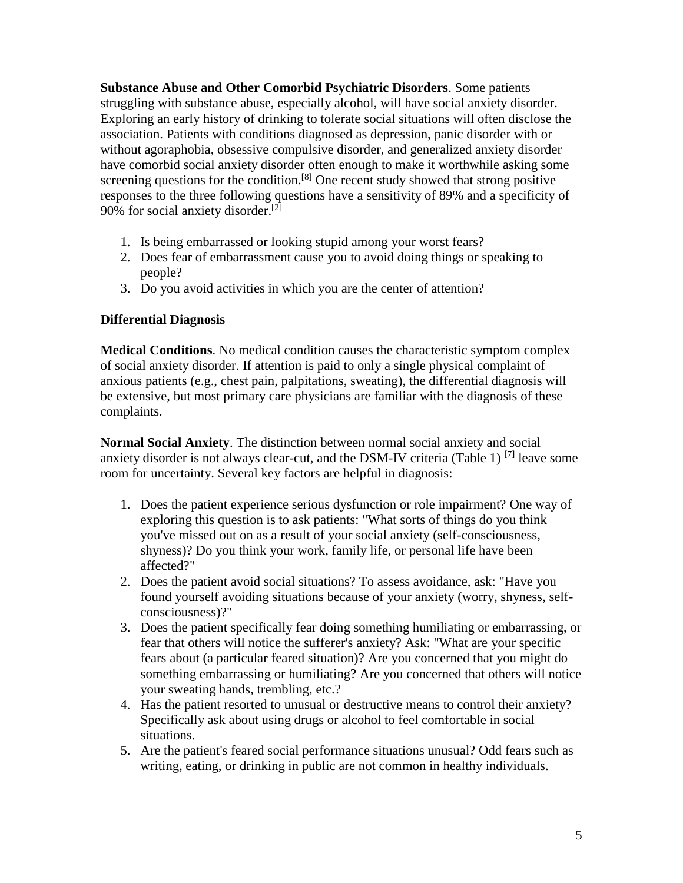**Substance Abuse and Other Comorbid Psychiatric Disorders**. Some patients struggling with substance abuse, especially alcohol, will have social anxiety disorder. Exploring an early history of drinking to tolerate social situations will often disclose the association. Patients with conditions diagnosed as depression, panic disorder with or without agoraphobia, obsessive compulsive disorder, and generalized anxiety disorder have comorbid social anxiety disorder often enough to make it worthwhile asking some screening questions for the condition.<sup>[8]</sup> One recent study showed that strong positive responses to the three following questions have a sensitivity of 89% and a specificity of 90% for social anxiety disorder.<sup>[2]</sup>

- 1. Is being embarrassed or looking stupid among your worst fears?
- 2. Does fear of embarrassment cause you to avoid doing things or speaking to people?
- 3. Do you avoid activities in which you are the center of attention?

#### **Differential Diagnosis**

**Medical Conditions**. No medical condition causes the characteristic symptom complex of social anxiety disorder. If attention is paid to only a single physical complaint of anxious patients (e.g., chest pain, palpitations, sweating), the differential diagnosis will be extensive, but most primary care physicians are familiar with the diagnosis of these complaints.

**Normal Social Anxiety**. The distinction between normal social anxiety and social anxiety disorder is not always clear-cut, and the DSM-IV criteria (Table 1)<sup>[7]</sup> leave some room for uncertainty. Several key factors are helpful in diagnosis:

- 1. Does the patient experience serious dysfunction or role impairment? One way of exploring this question is to ask patients: "What sorts of things do you think you've missed out on as a result of your social anxiety (self-consciousness, shyness)? Do you think your work, family life, or personal life have been affected?"
- 2. Does the patient avoid social situations? To assess avoidance, ask: "Have you found yourself avoiding situations because of your anxiety (worry, shyness, selfconsciousness)?"
- 3. Does the patient specifically fear doing something humiliating or embarrassing, or fear that others will notice the sufferer's anxiety? Ask: "What are your specific fears about (a particular feared situation)? Are you concerned that you might do something embarrassing or humiliating? Are you concerned that others will notice your sweating hands, trembling, etc.?
- 4. Has the patient resorted to unusual or destructive means to control their anxiety? Specifically ask about using drugs or alcohol to feel comfortable in social situations.
- 5. Are the patient's feared social performance situations unusual? Odd fears such as writing, eating, or drinking in public are not common in healthy individuals.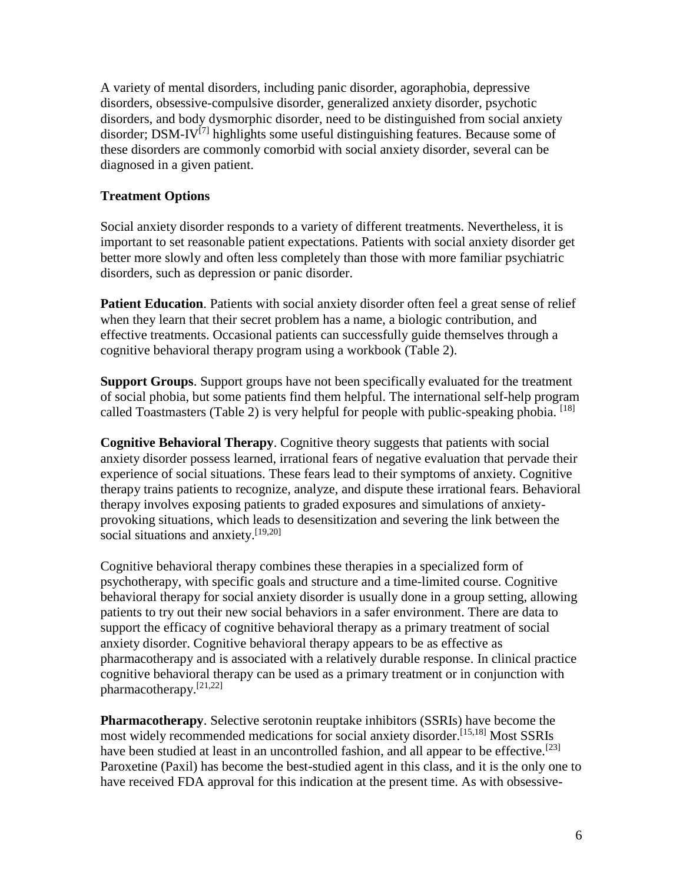A variety of mental disorders, including panic disorder, agoraphobia, depressive disorders, obsessive-compulsive disorder, generalized anxiety disorder, psychotic disorders, and body dysmorphic disorder, need to be distinguished from social anxiety disorder; DSM-IV<sup>[7]</sup> highlights some useful distinguishing features. Because some of these disorders are commonly comorbid with social anxiety disorder, several can be diagnosed in a given patient.

### **Treatment Options**

Social anxiety disorder responds to a variety of different treatments. Nevertheless, it is important to set reasonable patient expectations. Patients with social anxiety disorder get better more slowly and often less completely than those with more familiar psychiatric disorders, such as depression or panic disorder.

**Patient Education**. Patients with social anxiety disorder often feel a great sense of relief when they learn that their secret problem has a name, a biologic contribution, and effective treatments. Occasional patients can successfully guide themselves through a cognitive behavioral therapy program using a workbook (Table 2).

**Support Groups**. Support groups have not been specifically evaluated for the treatment of social phobia, but some patients find them helpful. The international self-help program called Toastmasters (Table 2) is very helpful for people with public-speaking phobia.  $^{[18]}$ 

**Cognitive Behavioral Therapy**. Cognitive theory suggests that patients with social anxiety disorder possess learned, irrational fears of negative evaluation that pervade their experience of social situations. These fears lead to their symptoms of anxiety. Cognitive therapy trains patients to recognize, analyze, and dispute these irrational fears. Behavioral therapy involves exposing patients to graded exposures and simulations of anxietyprovoking situations, which leads to desensitization and severing the link between the social situations and anxiety.<sup>[19,20]</sup>

Cognitive behavioral therapy combines these therapies in a specialized form of psychotherapy, with specific goals and structure and a time-limited course. Cognitive behavioral therapy for social anxiety disorder is usually done in a group setting, allowing patients to try out their new social behaviors in a safer environment. There are data to support the efficacy of cognitive behavioral therapy as a primary treatment of social anxiety disorder. Cognitive behavioral therapy appears to be as effective as pharmacotherapy and is associated with a relatively durable response. In clinical practice cognitive behavioral therapy can be used as a primary treatment or in conjunction with pharmacotherapy.[21,22]

**Pharmacotherapy**. Selective serotonin reuptake inhibitors (SSRIs) have become the most widely recommended medications for social anxiety disorder.[15,18] Most SSRIs have been studied at least in an uncontrolled fashion, and all appear to be effective.<sup>[23]</sup> Paroxetine (Paxil) has become the best-studied agent in this class, and it is the only one to have received FDA approval for this indication at the present time. As with obsessive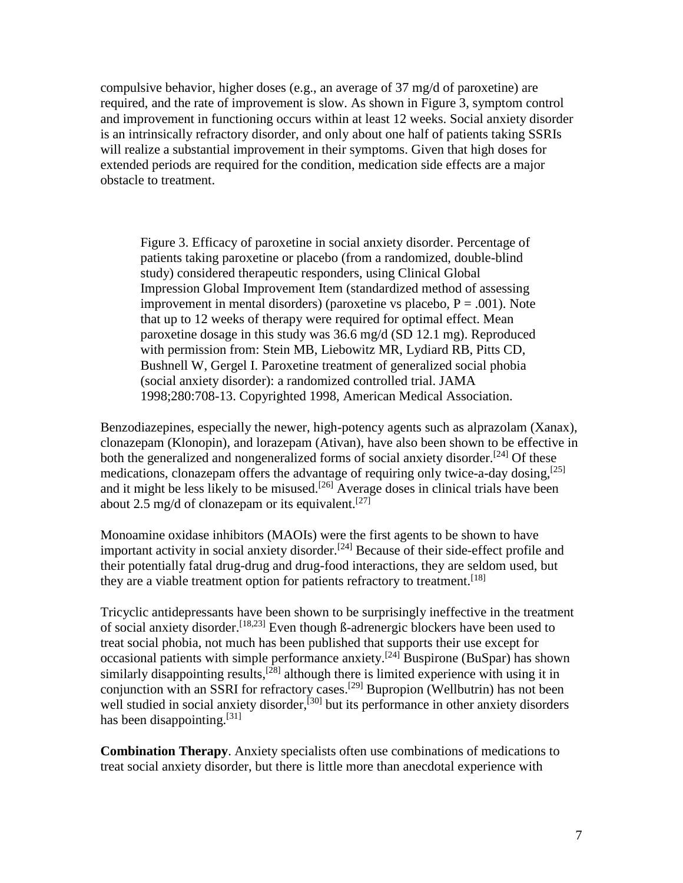compulsive behavior, higher doses (e.g., an average of 37 mg/d of paroxetine) are required, and the rate of improvement is slow. As shown in Figure 3, symptom control and improvement in functioning occurs within at least 12 weeks. Social anxiety disorder is an intrinsically refractory disorder, and only about one half of patients taking SSRIs will realize a substantial improvement in their symptoms. Given that high doses for extended periods are required for the condition, medication side effects are a major obstacle to treatment.

Figure 3. Efficacy of paroxetine in social anxiety disorder. Percentage of patients taking paroxetine or placebo (from a randomized, double-blind study) considered therapeutic responders, using Clinical Global Impression Global Improvement Item (standardized method of assessing improvement in mental disorders) (paroxetine vs placebo,  $P = .001$ ). Note that up to 12 weeks of therapy were required for optimal effect. Mean paroxetine dosage in this study was 36.6 mg/d (SD 12.1 mg). Reproduced with permission from: Stein MB, Liebowitz MR, Lydiard RB, Pitts CD, Bushnell W, Gergel I. Paroxetine treatment of generalized social phobia (social anxiety disorder): a randomized controlled trial. JAMA 1998;280:708-13. Copyrighted 1998, American Medical Association.

Benzodiazepines, especially the newer, high-potency agents such as alprazolam (Xanax), clonazepam (Klonopin), and lorazepam (Ativan), have also been shown to be effective in both the generalized and nongeneralized forms of social anxiety disorder.<sup>[24]</sup> Of these medications, clonazepam offers the advantage of requiring only twice-a-day dosing,  $^{[25]}$ and it might be less likely to be misused.<sup>[26]</sup> Average doses in clinical trials have been about 2.5 mg/d of clonazepam or its equivalent.<sup>[27]</sup>

Monoamine oxidase inhibitors (MAOIs) were the first agents to be shown to have important activity in social anxiety disorder.<sup>[24]</sup> Because of their side-effect profile and their potentially fatal drug-drug and drug-food interactions, they are seldom used, but they are a viable treatment option for patients refractory to treatment.<sup>[18]</sup>

Tricyclic antidepressants have been shown to be surprisingly ineffective in the treatment of social anxiety disorder.<sup>[18,23]</sup> Even though  $\beta$ -adrenergic blockers have been used to treat social phobia, not much has been published that supports their use except for occasional patients with simple performance anxiety.<sup>[24]</sup> Buspirone (BuSpar) has shown similarly disappointing results,<sup>[28]</sup> although there is limited experience with using it in conjunction with an SSRI for refractory cases.[29] Bupropion (Wellbutrin) has not been well studied in social anxiety disorder,<sup>[30]</sup> but its performance in other anxiety disorders has been disappointing.<sup>[31]</sup>

**Combination Therapy**. Anxiety specialists often use combinations of medications to treat social anxiety disorder, but there is little more than anecdotal experience with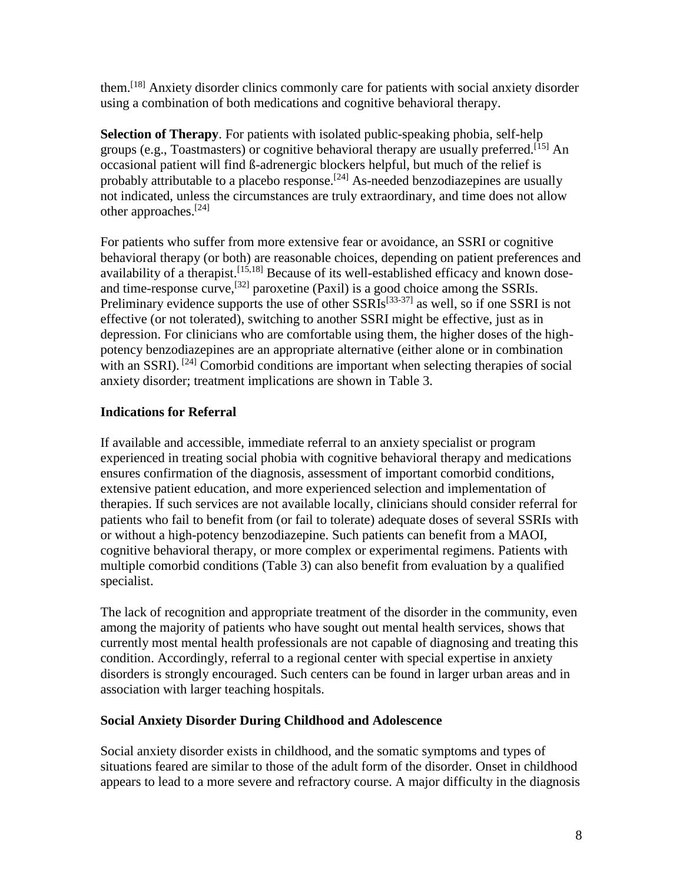them.[18] Anxiety disorder clinics commonly care for patients with social anxiety disorder using a combination of both medications and cognitive behavioral therapy.

**Selection of Therapy**. For patients with isolated public-speaking phobia, self-help groups (e.g., Toastmasters) or cognitive behavioral therapy are usually preferred.<sup>[15]</sup> An occasional patient will find ß-adrenergic blockers helpful, but much of the relief is probably attributable to a placebo response.<sup>[24]</sup> As-needed benzodiazepines are usually not indicated, unless the circumstances are truly extraordinary, and time does not allow other approaches.[24]

For patients who suffer from more extensive fear or avoidance, an SSRI or cognitive behavioral therapy (or both) are reasonable choices, depending on patient preferences and availability of a therapist.  $[15,18]$  Because of its well-established efficacy and known doseand time-response curve,  $^{[32]}$  paroxetine (Paxil) is a good choice among the SSRIs. Preliminary evidence supports the use of other SSRIs<sup>[33-37]</sup> as well, so if one SSRI is not effective (or not tolerated), switching to another SSRI might be effective, just as in depression. For clinicians who are comfortable using them, the higher doses of the highpotency benzodiazepines are an appropriate alternative (either alone or in combination with an SSRI).<sup>[24]</sup> Comorbid conditions are important when selecting therapies of social anxiety disorder; treatment implications are shown in Table 3.

## **Indications for Referral**

If available and accessible, immediate referral to an anxiety specialist or program experienced in treating social phobia with cognitive behavioral therapy and medications ensures confirmation of the diagnosis, assessment of important comorbid conditions, extensive patient education, and more experienced selection and implementation of therapies. If such services are not available locally, clinicians should consider referral for patients who fail to benefit from (or fail to tolerate) adequate doses of several SSRIs with or without a high-potency benzodiazepine. Such patients can benefit from a MAOI, cognitive behavioral therapy, or more complex or experimental regimens. Patients with multiple comorbid conditions (Table 3) can also benefit from evaluation by a qualified specialist.

The lack of recognition and appropriate treatment of the disorder in the community, even among the majority of patients who have sought out mental health services, shows that currently most mental health professionals are not capable of diagnosing and treating this condition. Accordingly, referral to a regional center with special expertise in anxiety disorders is strongly encouraged. Such centers can be found in larger urban areas and in association with larger teaching hospitals.

## **Social Anxiety Disorder During Childhood and Adolescence**

Social anxiety disorder exists in childhood, and the somatic symptoms and types of situations feared are similar to those of the adult form of the disorder. Onset in childhood appears to lead to a more severe and refractory course. A major difficulty in the diagnosis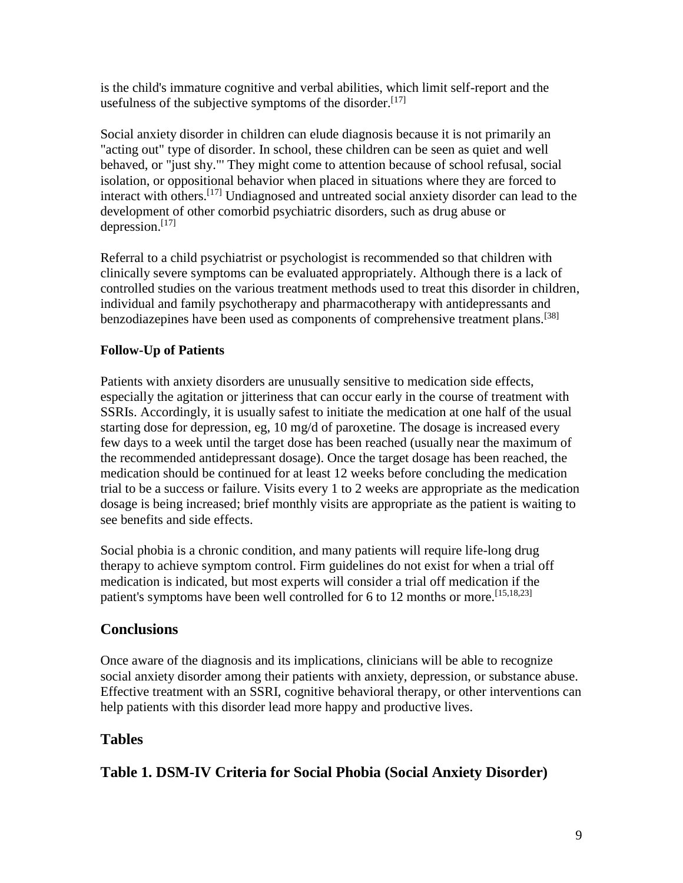is the child's immature cognitive and verbal abilities, which limit self-report and the usefulness of the subjective symptoms of the disorder.<sup>[17]</sup>

Social anxiety disorder in children can elude diagnosis because it is not primarily an "acting out" type of disorder. In school, these children can be seen as quiet and well behaved, or "just shy."' They might come to attention because of school refusal, social isolation, or oppositional behavior when placed in situations where they are forced to interact with others.[17] Undiagnosed and untreated social anxiety disorder can lead to the development of other comorbid psychiatric disorders, such as drug abuse or depression. $[17]$ 

Referral to a child psychiatrist or psychologist is recommended so that children with clinically severe symptoms can be evaluated appropriately. Although there is a lack of controlled studies on the various treatment methods used to treat this disorder in children, individual and family psychotherapy and pharmacotherapy with antidepressants and benzodiazepines have been used as components of comprehensive treatment plans.<sup>[38]</sup>

# **Follow-Up of Patients**

Patients with anxiety disorders are unusually sensitive to medication side effects, especially the agitation or jitteriness that can occur early in the course of treatment with SSRIs. Accordingly, it is usually safest to initiate the medication at one half of the usual starting dose for depression, eg, 10 mg/d of paroxetine. The dosage is increased every few days to a week until the target dose has been reached (usually near the maximum of the recommended antidepressant dosage). Once the target dosage has been reached, the medication should be continued for at least 12 weeks before concluding the medication trial to be a success or failure. Visits every 1 to 2 weeks are appropriate as the medication dosage is being increased; brief monthly visits are appropriate as the patient is waiting to see benefits and side effects.

Social phobia is a chronic condition, and many patients will require life-long drug therapy to achieve symptom control. Firm guidelines do not exist for when a trial off medication is indicated, but most experts will consider a trial off medication if the patient's symptoms have been well controlled for 6 to 12 months or more.<sup>[15,18,23]</sup>

# **Conclusions**

Once aware of the diagnosis and its implications, clinicians will be able to recognize social anxiety disorder among their patients with anxiety, depression, or substance abuse. Effective treatment with an SSRI, cognitive behavioral therapy, or other interventions can help patients with this disorder lead more happy and productive lives.

# **Tables**

# **Table 1. DSM-IV Criteria for Social Phobia (Social Anxiety Disorder)**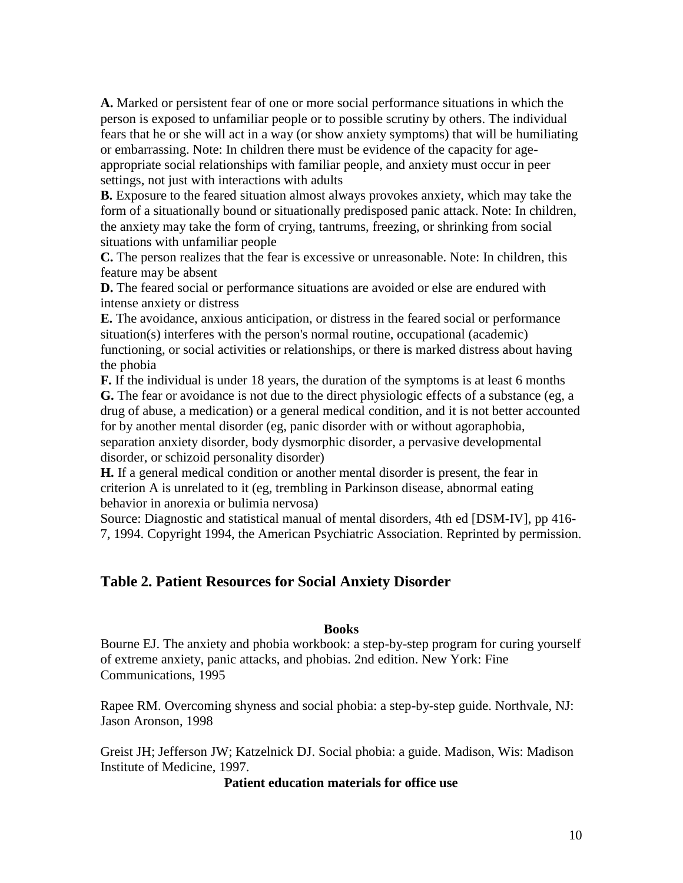**A.** Marked or persistent fear of one or more social performance situations in which the person is exposed to unfamiliar people or to possible scrutiny by others. The individual fears that he or she will act in a way (or show anxiety symptoms) that will be humiliating or embarrassing. Note: In children there must be evidence of the capacity for ageappropriate social relationships with familiar people, and anxiety must occur in peer settings, not just with interactions with adults

**B.** Exposure to the feared situation almost always provokes anxiety, which may take the form of a situationally bound or situationally predisposed panic attack. Note: In children, the anxiety may take the form of crying, tantrums, freezing, or shrinking from social situations with unfamiliar people

**C.** The person realizes that the fear is excessive or unreasonable. Note: In children, this feature may be absent

**D.** The feared social or performance situations are avoided or else are endured with intense anxiety or distress

**E.** The avoidance, anxious anticipation, or distress in the feared social or performance situation(s) interferes with the person's normal routine, occupational (academic) functioning, or social activities or relationships, or there is marked distress about having the phobia

**F.** If the individual is under 18 years, the duration of the symptoms is at least 6 months **G.** The fear or avoidance is not due to the direct physiologic effects of a substance (eg, a drug of abuse, a medication) or a general medical condition, and it is not better accounted for by another mental disorder (eg, panic disorder with or without agoraphobia, separation anxiety disorder, body dysmorphic disorder, a pervasive developmental

disorder, or schizoid personality disorder)

**H.** If a general medical condition or another mental disorder is present, the fear in criterion A is unrelated to it (eg, trembling in Parkinson disease, abnormal eating behavior in anorexia or bulimia nervosa)

Source: Diagnostic and statistical manual of mental disorders, 4th ed [DSM-IV], pp 416- 7, 1994. Copyright 1994, the American Psychiatric Association. Reprinted by permission.

### **Table 2. Patient Resources for Social Anxiety Disorder**

#### **Books**

Bourne EJ. The anxiety and phobia workbook: a step-by-step program for curing yourself of extreme anxiety, panic attacks, and phobias. 2nd edition. New York: Fine Communications, 1995

Rapee RM. Overcoming shyness and social phobia: a step-by-step guide. Northvale, NJ: Jason Aronson, 1998

Greist JH; Jefferson JW; Katzelnick DJ. Social phobia: a guide. Madison, Wis: Madison Institute of Medicine, 1997.

#### **Patient education materials for office use**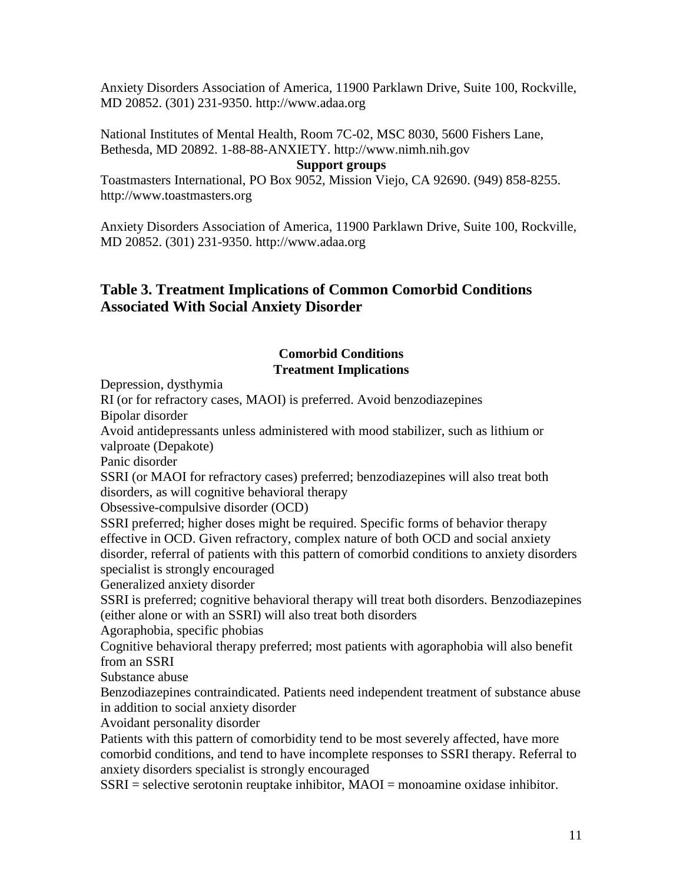Anxiety Disorders Association of America, 11900 Parklawn Drive, Suite 100, Rockville, MD 20852. (301) 231-9350. http://www.adaa.org

National Institutes of Mental Health, Room 7C-02, MSC 8030, 5600 Fishers Lane, Bethesda, MD 20892. 1-88-88-ANXIETY. http://www.nimh.nih.gov

### **Support groups**

Toastmasters International, PO Box 9052, Mission Viejo, CA 92690. (949) 858-8255. http://www.toastmasters.org

Anxiety Disorders Association of America, 11900 Parklawn Drive, Suite 100, Rockville, MD 20852. (301) 231-9350. http://www.adaa.org

## **Table 3. Treatment Implications of Common Comorbid Conditions Associated With Social Anxiety Disorder**

#### **Comorbid Conditions Treatment Implications**

Depression, dysthymia

RI (or for refractory cases, MAOI) is preferred. Avoid benzodiazepines Bipolar disorder

Avoid antidepressants unless administered with mood stabilizer, such as lithium or valproate (Depakote)

Panic disorder

SSRI (or MAOI for refractory cases) preferred; benzodiazepines will also treat both disorders, as will cognitive behavioral therapy

Obsessive-compulsive disorder (OCD)

SSRI preferred; higher doses might be required. Specific forms of behavior therapy effective in OCD. Given refractory, complex nature of both OCD and social anxiety disorder, referral of patients with this pattern of comorbid conditions to anxiety disorders specialist is strongly encouraged

Generalized anxiety disorder

SSRI is preferred; cognitive behavioral therapy will treat both disorders. Benzodiazepines (either alone or with an SSRI) will also treat both disorders

Agoraphobia, specific phobias

Cognitive behavioral therapy preferred; most patients with agoraphobia will also benefit from an SSRI

Substance abuse

Benzodiazepines contraindicated. Patients need independent treatment of substance abuse in addition to social anxiety disorder

Avoidant personality disorder

Patients with this pattern of comorbidity tend to be most severely affected, have more comorbid conditions, and tend to have incomplete responses to SSRI therapy. Referral to anxiety disorders specialist is strongly encouraged

 $SSRI =$  selective serotonin reuptake inhibitor,  $MAOI =$  monoamine oxidase inhibitor.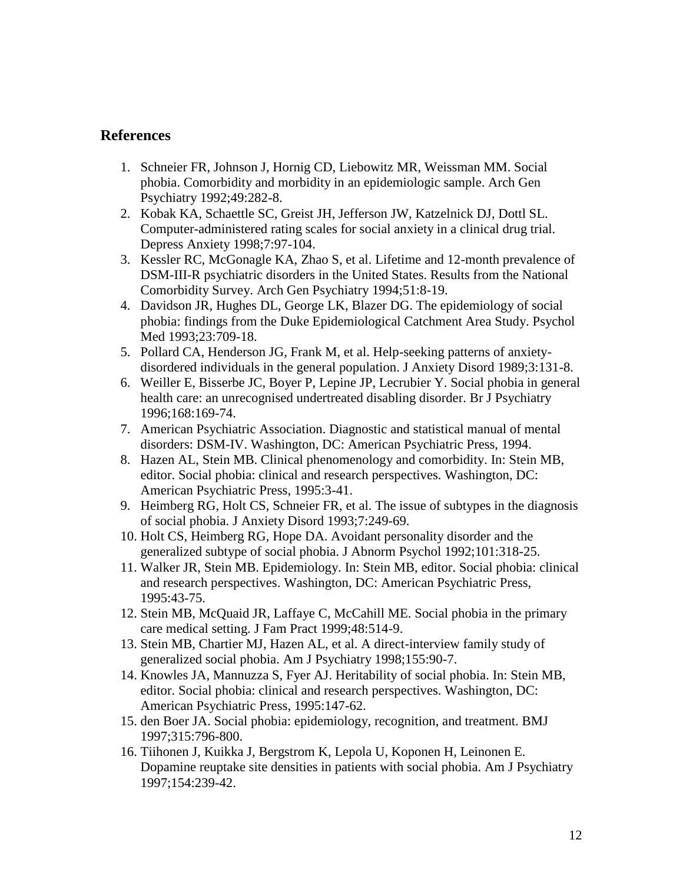### **References**

- 1. Schneier FR, Johnson J, Hornig CD, Liebowitz MR, Weissman MM. Social phobia. Comorbidity and morbidity in an epidemiologic sample. Arch Gen Psychiatry 1992;49:282-8.
- 2. Kobak KA, Schaettle SC, Greist JH, Jefferson JW, Katzelnick DJ, Dottl SL. Computer-administered rating scales for social anxiety in a clinical drug trial. Depress Anxiety 1998;7:97-104.
- 3. Kessler RC, McGonagle KA, Zhao S, et al. Lifetime and 12-month prevalence of DSM-III-R psychiatric disorders in the United States. Results from the National Comorbidity Survey. Arch Gen Psychiatry 1994;51:8-19.
- 4. Davidson JR, Hughes DL, George LK, Blazer DG. The epidemiology of social phobia: findings from the Duke Epidemiological Catchment Area Study. Psychol Med 1993;23:709-18.
- 5. Pollard CA, Henderson JG, Frank M, et al. Help-seeking patterns of anxietydisordered individuals in the general population. J Anxiety Disord 1989;3:131-8.
- 6. Weiller E, Bisserbe JC, Boyer P, Lepine JP, Lecrubier Y. Social phobia in general health care: an unrecognised undertreated disabling disorder. Br J Psychiatry 1996;168:169-74.
- 7. American Psychiatric Association. Diagnostic and statistical manual of mental disorders: DSM-IV. Washington, DC: American Psychiatric Press, 1994.
- 8. Hazen AL, Stein MB. Clinical phenomenology and comorbidity. In: Stein MB, editor. Social phobia: clinical and research perspectives. Washington, DC: American Psychiatric Press, 1995:3-41.
- 9. Heimberg RG, Holt CS, Schneier FR, et al. The issue of subtypes in the diagnosis of social phobia. J Anxiety Disord 1993;7:249-69.
- 10. Holt CS, Heimberg RG, Hope DA. Avoidant personality disorder and the generalized subtype of social phobia. J Abnorm Psychol 1992;101:318-25.
- 11. Walker JR, Stein MB. Epidemiology. In: Stein MB, editor. Social phobia: clinical and research perspectives. Washington, DC: American Psychiatric Press, 1995:43-75.
- 12. Stein MB, McQuaid JR, Laffaye C, McCahill ME. Social phobia in the primary care medical setting. J Fam Pract 1999;48:514-9.
- 13. Stein MB, Chartier MJ, Hazen AL, et al. A direct-interview family study of generalized social phobia. Am J Psychiatry 1998;155:90-7.
- 14. Knowles JA, Mannuzza S, Fyer AJ. Heritability of social phobia. In: Stein MB, editor. Social phobia: clinical and research perspectives. Washington, DC: American Psychiatric Press, 1995:147-62.
- 15. den Boer JA. Social phobia: epidemiology, recognition, and treatment. BMJ 1997;315:796-800.
- 16. Tiihonen J, Kuikka J, Bergstrom K, Lepola U, Koponen H, Leinonen E. Dopamine reuptake site densities in patients with social phobia. Am J Psychiatry 1997;154:239-42.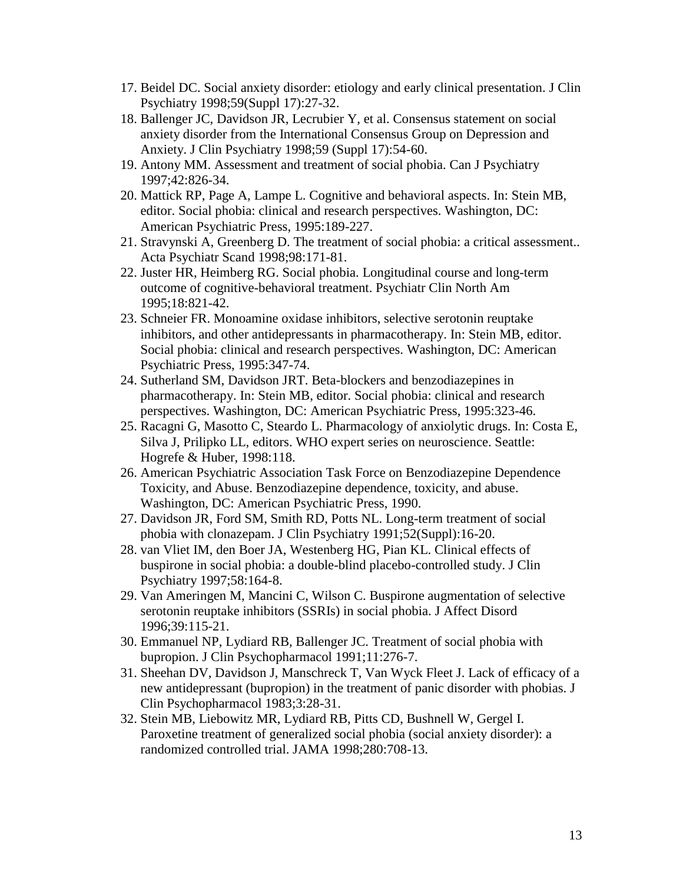- 17. Beidel DC. Social anxiety disorder: etiology and early clinical presentation. J Clin Psychiatry 1998;59(Suppl 17):27-32.
- 18. Ballenger JC, Davidson JR, Lecrubier Y, et al. Consensus statement on social anxiety disorder from the International Consensus Group on Depression and Anxiety. J Clin Psychiatry 1998;59 (Suppl 17):54-60.
- 19. Antony MM. Assessment and treatment of social phobia. Can J Psychiatry 1997;42:826-34.
- 20. Mattick RP, Page A, Lampe L. Cognitive and behavioral aspects. In: Stein MB, editor. Social phobia: clinical and research perspectives. Washington, DC: American Psychiatric Press, 1995:189-227.
- 21. Stravynski A, Greenberg D. The treatment of social phobia: a critical assessment.. Acta Psychiatr Scand 1998;98:171-81.
- 22. Juster HR, Heimberg RG. Social phobia. Longitudinal course and long-term outcome of cognitive-behavioral treatment. Psychiatr Clin North Am 1995;18:821-42.
- 23. Schneier FR. Monoamine oxidase inhibitors, selective serotonin reuptake inhibitors, and other antidepressants in pharmacotherapy. In: Stein MB, editor. Social phobia: clinical and research perspectives. Washington, DC: American Psychiatric Press, 1995:347-74.
- 24. Sutherland SM, Davidson JRT. Beta-blockers and benzodiazepines in pharmacotherapy. In: Stein MB, editor. Social phobia: clinical and research perspectives. Washington, DC: American Psychiatric Press, 1995:323-46.
- 25. Racagni G, Masotto C, Steardo L. Pharmacology of anxiolytic drugs. In: Costa E, Silva J, Prilipko LL, editors. WHO expert series on neuroscience. Seattle: Hogrefe & Huber, 1998:118.
- 26. American Psychiatric Association Task Force on Benzodiazepine Dependence Toxicity, and Abuse. Benzodiazepine dependence, toxicity, and abuse. Washington, DC: American Psychiatric Press, 1990.
- 27. Davidson JR, Ford SM, Smith RD, Potts NL. Long-term treatment of social phobia with clonazepam. J Clin Psychiatry 1991;52(Suppl):16-20.
- 28. van Vliet IM, den Boer JA, Westenberg HG, Pian KL. Clinical effects of buspirone in social phobia: a double-blind placebo-controlled study. J Clin Psychiatry 1997;58:164-8.
- 29. Van Ameringen M, Mancini C, Wilson C. Buspirone augmentation of selective serotonin reuptake inhibitors (SSRIs) in social phobia. J Affect Disord 1996;39:115-21.
- 30. Emmanuel NP, Lydiard RB, Ballenger JC. Treatment of social phobia with bupropion. J Clin Psychopharmacol 1991;11:276-7.
- 31. Sheehan DV, Davidson J, Manschreck T, Van Wyck Fleet J. Lack of efficacy of a new antidepressant (bupropion) in the treatment of panic disorder with phobias. J Clin Psychopharmacol 1983;3:28-31.
- 32. Stein MB, Liebowitz MR, Lydiard RB, Pitts CD, Bushnell W, Gergel I. Paroxetine treatment of generalized social phobia (social anxiety disorder): a randomized controlled trial. JAMA 1998;280:708-13.